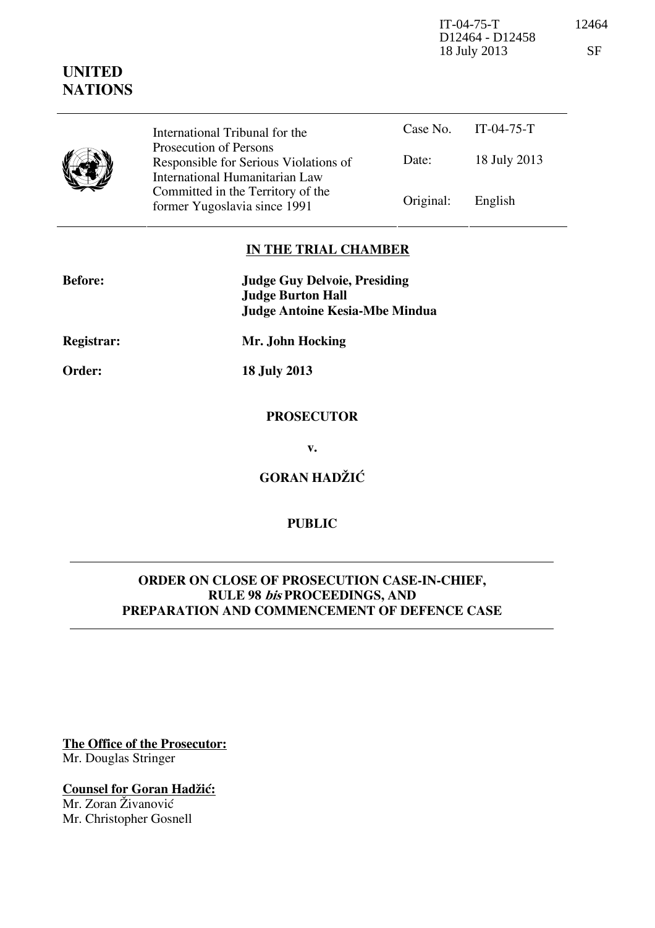IT-04-75-T 12464 D12464 - D12458 18 July 2013 SF

|  | International Tribunal for the                                                                    |           | Case No. IT-04-75-T |  |
|--|---------------------------------------------------------------------------------------------------|-----------|---------------------|--|
|  | Prosecution of Persons<br>Responsible for Serious Violations of<br>International Humanitarian Law | Date:     | 18 July 2013        |  |
|  | Committed in the Territory of the<br>former Yugoslavia since 1991                                 | Original: | English             |  |

# **IN THE TRIAL CHAMBER**

| <b>Before:</b>    | <b>Judge Guy Delvoie, Presiding</b><br><b>Judge Burton Hall</b> |  |
|-------------------|-----------------------------------------------------------------|--|
|                   |                                                                 |  |
|                   | <b>Judge Antoine Kesia-Mbe Mindua</b>                           |  |
| <b>Registrar:</b> | Mr. John Hocking                                                |  |
| Order:            | <b>18 July 2013</b>                                             |  |
|                   | <b>PROSECUTOR</b>                                               |  |

**v.** 

**GORAN HADŽIĆ** 

# **PUBLIC**

## **ORDER ON CLOSE OF PROSECUTION CASE-IN-CHIEF, RULE 98 bis PROCEEDINGS, AND PREPARATION AND COMMENCEMENT OF DEFENCE CASE**

**The Office of the Prosecutor:** Mr. Douglas Stringer

**Counsel for Goran Hadžić:** Mr. Zoran Živanović

Mr. Christopher Gosnell

# **UNITED NATIONS**

ш,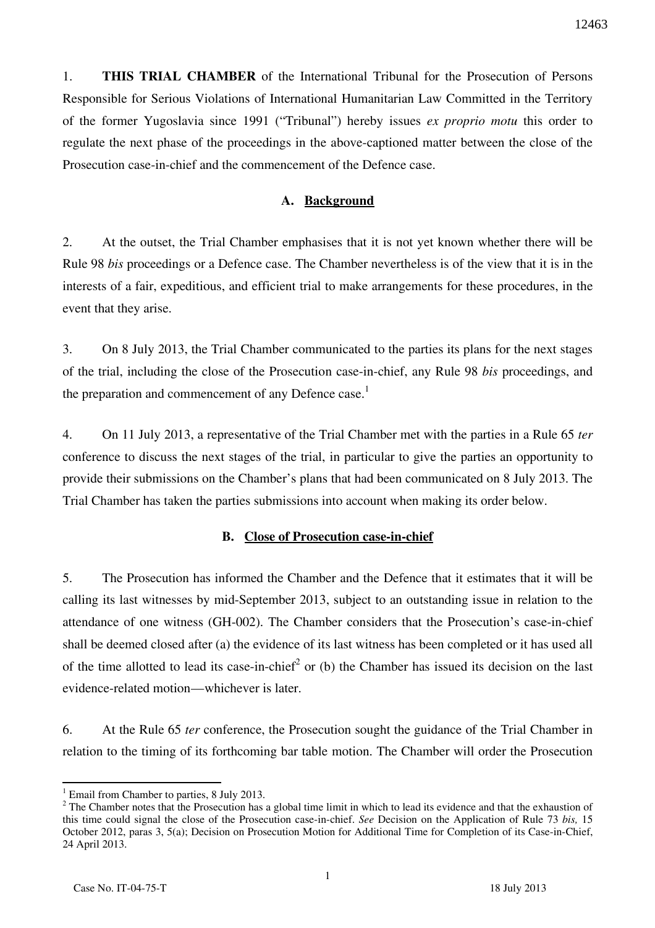1. **THIS TRIAL CHAMBER** of the International Tribunal for the Prosecution of Persons Responsible for Serious Violations of International Humanitarian Law Committed in the Territory of the former Yugoslavia since 1991 ("Tribunal") hereby issues *ex proprio motu* this order to regulate the next phase of the proceedings in the above-captioned matter between the close of the Prosecution case-in-chief and the commencement of the Defence case.

## **A. Background**

2. At the outset, the Trial Chamber emphasises that it is not yet known whether there will be Rule 98 *bis* proceedings or a Defence case. The Chamber nevertheless is of the view that it is in the interests of a fair, expeditious, and efficient trial to make arrangements for these procedures, in the event that they arise.

3. On 8 July 2013, the Trial Chamber communicated to the parties its plans for the next stages of the trial, including the close of the Prosecution case-in-chief, any Rule 98 *bis* proceedings, and the preparation and commencement of any Defence case.<sup>1</sup>

4. On 11 July 2013, a representative of the Trial Chamber met with the parties in a Rule 65 *ter* conference to discuss the next stages of the trial, in particular to give the parties an opportunity to provide their submissions on the Chamber's plans that had been communicated on 8 July 2013. The Trial Chamber has taken the parties submissions into account when making its order below.

#### **B. Close of Prosecution case-in-chief**

5. The Prosecution has informed the Chamber and the Defence that it estimates that it will be calling its last witnesses by mid-September 2013, subject to an outstanding issue in relation to the attendance of one witness (GH-002). The Chamber considers that the Prosecution's case-in-chief shall be deemed closed after (a) the evidence of its last witness has been completed or it has used all of the time allotted to lead its case-in-chief<sup>2</sup> or (b) the Chamber has issued its decision on the last evidence-related motion—whichever is later.

6. At the Rule 65 *ter* conference, the Prosecution sought the guidance of the Trial Chamber in relation to the timing of its forthcoming bar table motion. The Chamber will order the Prosecution

 <sup>1</sup> Email from Chamber to parties, 8 July 2013.

 $2^2$  The Chamber notes that the Prosecution has a global time limit in which to lead its evidence and that the exhaustion of this time could signal the close of the Prosecution case-in-chief. *See* Decision on the Application of Rule 73 *bis,* 15 October 2012, paras 3, 5(a); Decision on Prosecution Motion for Additional Time for Completion of its Case-in-Chief, 24 April 2013.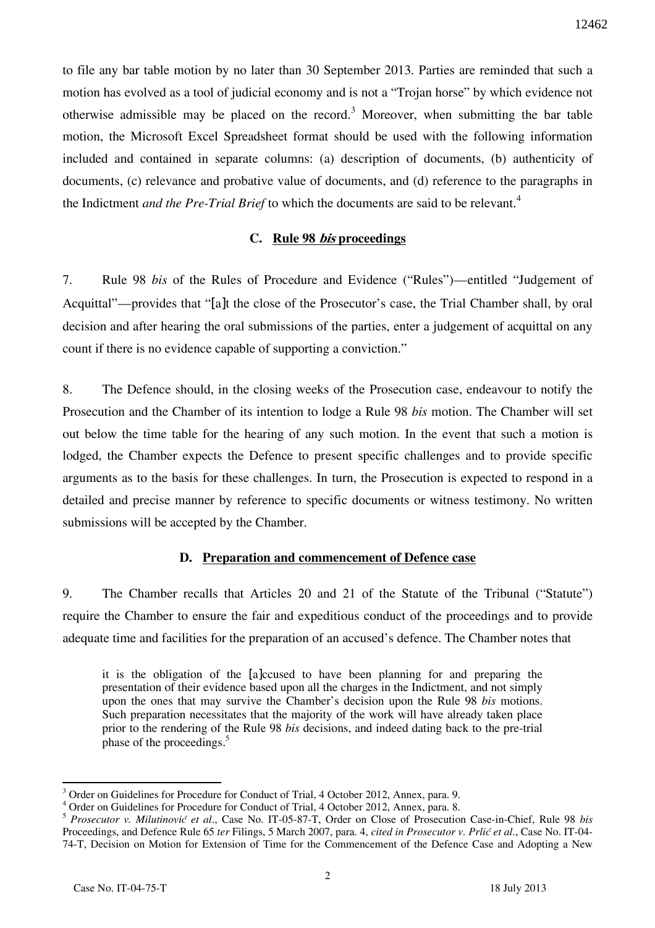to file any bar table motion by no later than 30 September 2013. Parties are reminded that such a motion has evolved as a tool of judicial economy and is not a "Trojan horse" by which evidence not otherwise admissible may be placed on the record.<sup>3</sup> Moreover, when submitting the bar table motion, the Microsoft Excel Spreadsheet format should be used with the following information included and contained in separate columns: (a) description of documents, (b) authenticity of documents, (c) relevance and probative value of documents, and (d) reference to the paragraphs in the Indictment *and the Pre-Trial Brief* to which the documents are said to be relevant.<sup>4</sup>

## **C. Rule 98 bis proceedings**

7. Rule 98 *bis* of the Rules of Procedure and Evidence ("Rules")—entitled "Judgement of Acquittal"—provides that "[a]t the close of the Prosecutor's case, the Trial Chamber shall, by oral decision and after hearing the oral submissions of the parties, enter a judgement of acquittal on any count if there is no evidence capable of supporting a conviction."

8. The Defence should, in the closing weeks of the Prosecution case, endeavour to notify the Prosecution and the Chamber of its intention to lodge a Rule 98 *bis* motion. The Chamber will set out below the time table for the hearing of any such motion. In the event that such a motion is lodged, the Chamber expects the Defence to present specific challenges and to provide specific arguments as to the basis for these challenges. In turn, the Prosecution is expected to respond in a detailed and precise manner by reference to specific documents or witness testimony. No written submissions will be accepted by the Chamber.

# **D. Preparation and commencement of Defence case**

9. The Chamber recalls that Articles 20 and 21 of the Statute of the Tribunal ("Statute") require the Chamber to ensure the fair and expeditious conduct of the proceedings and to provide adequate time and facilities for the preparation of an accused's defence. The Chamber notes that

it is the obligation of the [a]ccused to have been planning for and preparing the presentation of their evidence based upon all the charges in the Indictment, and not simply upon the ones that may survive the Chamber's decision upon the Rule 98 *bis* motions. Such preparation necessitates that the majority of the work will have already taken place prior to the rendering of the Rule 98 *bis* decisions, and indeed dating back to the pre-trial phase of the proceedings.<sup>5</sup>

 $\overline{a}$ <sup>3</sup> Order on Guidelines for Procedure for Conduct of Trial, 4 October 2012, Annex, para. 9.

<sup>&</sup>lt;sup>4</sup> Order on Guidelines for Procedure for Conduct of Trial, 4 October 2012, Annex, para. 8.

<sup>5</sup> *Prosecutor v. Milutinović et al*., Case No. IT-05-87-T, Order on Close of Prosecution Case-in-Chief, Rule 98 *bis* Proceedings, and Defence Rule 65 *ter* Filings, 5 March 2007, para. 4, *cited in Prosecutor v. Prlić et al*., Case No. IT-04- 74-T, Decision on Motion for Extension of Time for the Commencement of the Defence Case and Adopting a New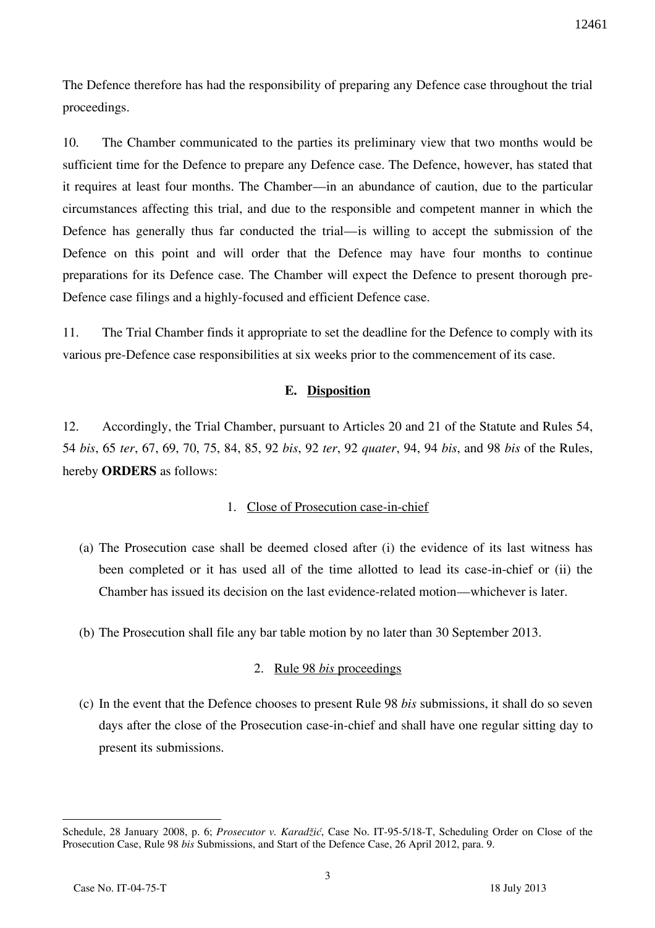The Defence therefore has had the responsibility of preparing any Defence case throughout the trial proceedings.

10. The Chamber communicated to the parties its preliminary view that two months would be sufficient time for the Defence to prepare any Defence case. The Defence, however, has stated that it requires at least four months. The Chamber—in an abundance of caution, due to the particular circumstances affecting this trial, and due to the responsible and competent manner in which the Defence has generally thus far conducted the trial—is willing to accept the submission of the Defence on this point and will order that the Defence may have four months to continue preparations for its Defence case. The Chamber will expect the Defence to present thorough pre-Defence case filings and a highly-focused and efficient Defence case.

11. The Trial Chamber finds it appropriate to set the deadline for the Defence to comply with its various pre-Defence case responsibilities at six weeks prior to the commencement of its case.

## **E. Disposition**

12. Accordingly, the Trial Chamber, pursuant to Articles 20 and 21 of the Statute and Rules 54, 54 *bis*, 65 *ter*, 67, 69, 70, 75, 84, 85, 92 *bis*, 92 *ter*, 92 *quater*, 94, 94 *bis*, and 98 *bis* of the Rules, hereby **ORDERS** as follows:

#### 1. Close of Prosecution case-in-chief

- (a) The Prosecution case shall be deemed closed after (i) the evidence of its last witness has been completed or it has used all of the time allotted to lead its case-in-chief or (ii) the Chamber has issued its decision on the last evidence-related motion—whichever is later.
- (b) The Prosecution shall file any bar table motion by no later than 30 September 2013.

#### 2. Rule 98 *bis* proceedings

(c) In the event that the Defence chooses to present Rule 98 *bis* submissions, it shall do so seven days after the close of the Prosecution case-in-chief and shall have one regular sitting day to present its submissions.

 $\overline{a}$ 

Schedule, 28 January 2008, p. 6; *Prosecutor v. Karadžić*, Case No. IT-95-5/18-T, Scheduling Order on Close of the Prosecution Case, Rule 98 *bis* Submissions, and Start of the Defence Case, 26 April 2012, para. 9.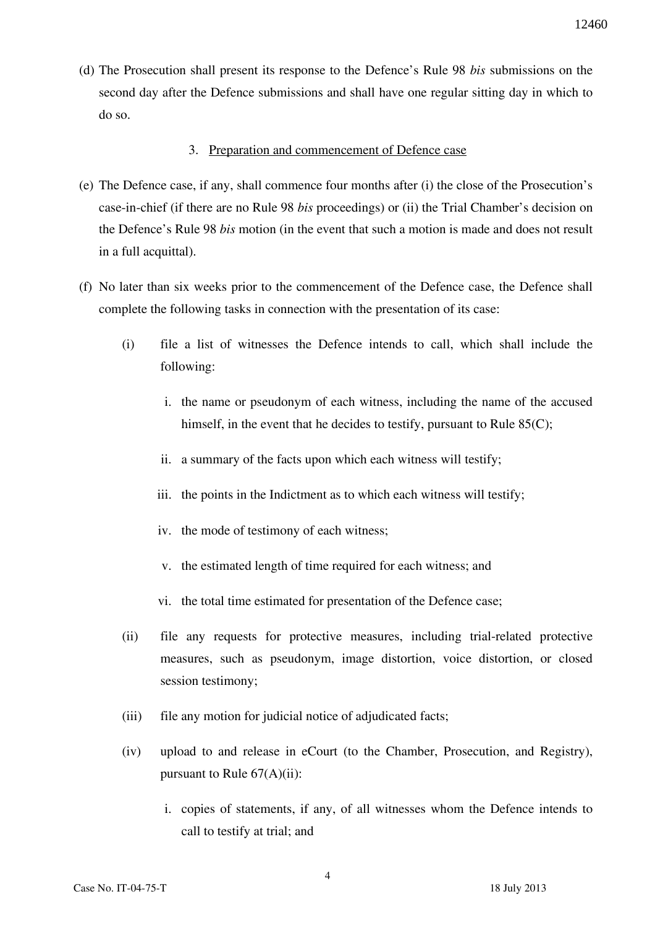(d) The Prosecution shall present its response to the Defence's Rule 98 *bis* submissions on the second day after the Defence submissions and shall have one regular sitting day in which to do so.

#### 3. Preparation and commencement of Defence case

- (e) The Defence case, if any, shall commence four months after (i) the close of the Prosecution's case-in-chief (if there are no Rule 98 *bis* proceedings) or (ii) the Trial Chamber's decision on the Defence's Rule 98 *bis* motion (in the event that such a motion is made and does not result in a full acquittal).
- (f) No later than six weeks prior to the commencement of the Defence case, the Defence shall complete the following tasks in connection with the presentation of its case:
	- (i) file a list of witnesses the Defence intends to call, which shall include the following:
		- i. the name or pseudonym of each witness, including the name of the accused himself, in the event that he decides to testify, pursuant to Rule 85(C);
		- ii. a summary of the facts upon which each witness will testify;
		- iii. the points in the Indictment as to which each witness will testify;
		- iv. the mode of testimony of each witness;
		- v. the estimated length of time required for each witness; and
		- vi. the total time estimated for presentation of the Defence case;
	- (ii) file any requests for protective measures, including trial-related protective measures, such as pseudonym, image distortion, voice distortion, or closed session testimony;
	- (iii) file any motion for judicial notice of adjudicated facts;
	- (iv) upload to and release in eCourt (to the Chamber, Prosecution, and Registry), pursuant to Rule  $67(A)(ii)$ :
		- i. copies of statements, if any, of all witnesses whom the Defence intends to call to testify at trial; and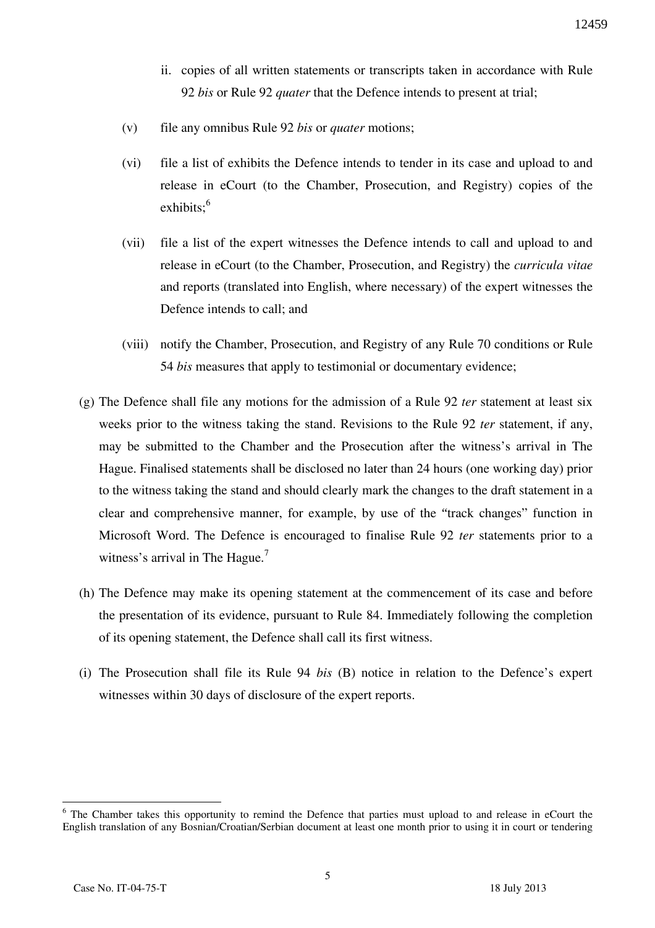- ii. copies of all written statements or transcripts taken in accordance with Rule 92 *bis* or Rule 92 *quater* that the Defence intends to present at trial;
- (v) file any omnibus Rule 92 *bis* or *quater* motions;
- (vi) file a list of exhibits the Defence intends to tender in its case and upload to and release in eCourt (to the Chamber, Prosecution, and Registry) copies of the  $exhibits$ <sup>6</sup>
- (vii) file a list of the expert witnesses the Defence intends to call and upload to and release in eCourt (to the Chamber, Prosecution, and Registry) the *curricula vitae* and reports (translated into English, where necessary) of the expert witnesses the Defence intends to call; and
- (viii) notify the Chamber, Prosecution, and Registry of any Rule 70 conditions or Rule 54 *bis* measures that apply to testimonial or documentary evidence;
- (g) The Defence shall file any motions for the admission of a Rule 92 *ter* statement at least six weeks prior to the witness taking the stand. Revisions to the Rule 92 *ter* statement, if any, may be submitted to the Chamber and the Prosecution after the witness's arrival in The Hague. Finalised statements shall be disclosed no later than 24 hours (one working day) prior to the witness taking the stand and should clearly mark the changes to the draft statement in a clear and comprehensive manner, for example, by use of the "track changes" function in Microsoft Word. The Defence is encouraged to finalise Rule 92 *ter* statements prior to a witness's arrival in The Hague.<sup>7</sup>
- (h) The Defence may make its opening statement at the commencement of its case and before the presentation of its evidence, pursuant to Rule 84. Immediately following the completion of its opening statement, the Defence shall call its first witness.
- (i) The Prosecution shall file its Rule 94 *bis* (B) notice in relation to the Defence's expert witnesses within 30 days of disclosure of the expert reports.

 $\overline{a}$ 

<sup>&</sup>lt;sup>6</sup> The Chamber takes this opportunity to remind the Defence that parties must upload to and release in eCourt the English translation of any Bosnian/Croatian/Serbian document at least one month prior to using it in court or tendering